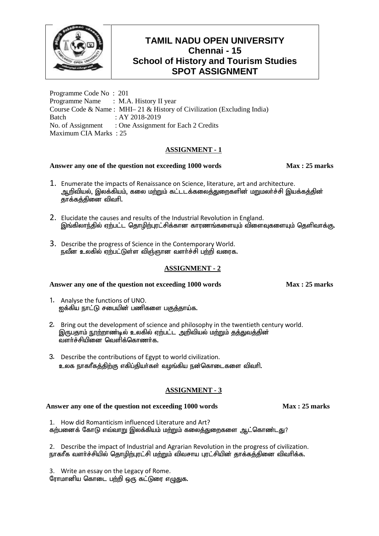

Programme Code No : 201 Programme Name : M.A. History II year Course Code & Name : MHI– 21 & History of Civilization (Excluding India) Batch : AY 2018-2019 No. of Assignment : One Assignment for Each 2 Credits Maximum CIA Marks : 25

# **ASSIGNMENT - 1**

# **Answer any one of the question not exceeding 1000 words Max : 25 marks**

- 1. Enumerate the impacts of Renaissance on Science, literature, art and architecture. ஆறிவியல், இலக்கியம், கலை மற்றும் கட்டடக்கலைத்துறைகளின் மறுமலர்ச்சி இயக்கத்தின் தாக்கக்கினை விவரி.
- 2. Elucidate the causes and results of the Industrial Revolution in England. இங்கிலாந்தில் ஏற்பட்ட தொழிற்புரட்சிக்கான காரணங்களையும் விளைவுகளையும் தெளிவாக்கு.
- 3. Describe the progress of Science in the Contemporary World. நவீன உலகில் ஏற்பட்டுள்ள விஞ்ஞான வளர்ச்சி பற்றி வரைக.

# **ASSIGNMENT - 2**

## Answer any one of the question not exceeding 1000 words Max : 25 marks

- 1. Analyse the functions of UNO.  $p$ த்கிய நாட்டு சபையின் பணிகளை பகுத்தாய்க.
- 2. Bring out the development of science and philosophy in the twentieth century world. இருபதாம் நூற்றாண்டில் உலகில் ஏற்பட்ட அறிவியல் மற்றும் குக்துவக்கின் வளர்ச்சியினை வெளிக்கொணர்க $\cdot$
- 3. Describe the contributions of Egypt to world civilization. உலக நாகரீகத்திற்கு எகிப்தியர்கள் வழங்கிய நன்கொடைகளை விவரி.

## **ASSIGNMENT - 3**

## **Answer any one of the question not exceeding 1000 words Max : 25 marks**

1. How did Romanticism influenced Literature and Art? கற்பனைக் கோடு எவ்வாறு இலக்கியம் மற்றும் கலைத்துறைகளை ஆட்கொண்டது?

2. Describe the impact of Industrial and Agrarian Revolution in the progress of civilization. நாகரீக வளர்ச்சியில் தொழிற்புரட்சி மற்றும் விவசாய புரட்சியின் தாக்கத்தினை விவரிக்க.

3. Write an essay on the Legacy of Rome. ரோமானிய கொடை பற்றி ஒரு கட்டுரை எழுதுக.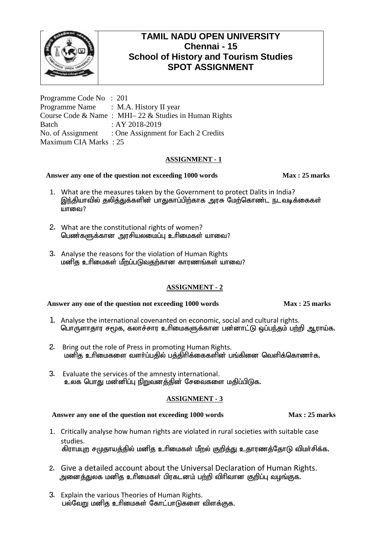

Programme Code No : 201 Programme Name : M.A. History II year Course Code & Name : MHI– 22 & Studies in Human Rights Batch : AY 2018-2019 No. of Assignment : One Assignment for Each 2 Credits Maximum CIA Marks : 25

# **ASSIGNMENT - 1**

# Answer any one of the question not exceeding 1000 words Max : 25 marks

- 1. What are the measures taken by the Government to protect Dalits in India? இந்தியாவில் தலித்துக்களின் பாதுகாப்பிற்காக அரசு மேற்கொண்ட நடவடிக்கைகள்  $\mu$  in cone i ?
- 2. What are the constitutional rights of women? பெண்களுக்கான அரசியலமைப்பு உரிமைகள் யாவை?
- 3. Analyse the reasons for the violation of Human Rights ் மனித உரிமைகள் மீறப்படுவதற்கான காரணங்கள் யாவை?

# **ASSIGNMENT - 2**

# **Answer any one of the question not exceeding 1000 words Max: 25 marks**

- 1. Analyse the international covenanted on economic, social and cultural rights. பொருளாதார சமூக, கலாச்சார உரிமைகளுக்கான பன்னாட்டு ஒப்பந்தம் பற்றி ஆராய்க.
- 2. Bring out the role of Press in promoting Human Rights. மனித உரிமைகளை வளர்ப்பதில் பத்திரிக்கைகளின் பங்கினை வெளிக்கொணர்க.
- 3. Evaluate the services of the amnesty international. உலக பொது மன்னிப்பு நிறுவனத்தின் சேவைகளை மதிப்பிடுக.

# **ASSIGNMENT - 3**

- 1. Critically analyse how human rights are violated in rural societies with suitable case studies. கிராமபுற சமுதாயத்தில் மனித உரிமைகள் மீறல் குறித்து உதாரணத்தோடு விமர்சிக்க.
- 2. Give a detailed account about the Universal Declaration of Human Rights. அனைத்துலக மனித உரிமைகள் பிரகடனம் பற்றி விரிவான குறிப்பு வழங்குக.
- 3. Explain the various Theories of Human Rights. பல்வேறு மனித உரிமைகள் கோட்பாடுகளை விளக்குக.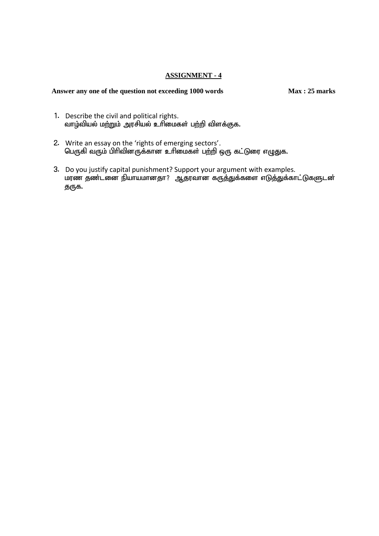## **ASSIGNMENT - 4**

- 1. Describe the civil and political rights. வாழ்வியல் மற்றும் அரசியல் உரிமைகள் பற்றி விளக்குக.
- 2. Write an essay on the 'rights of emerging sectors'. பெருகி வரும் பிரிவினருக்கான உரிமைகள் பற்றி ஒரு கட்டுரை எழுதுக.
- 3. Do you justify capital punishment? Support your argument with examples. மரண தண்டனை நியாயமானதா? ஆதரவான கருத்துக்களை எடுத்துக்காட்டுகளுடன் தருக.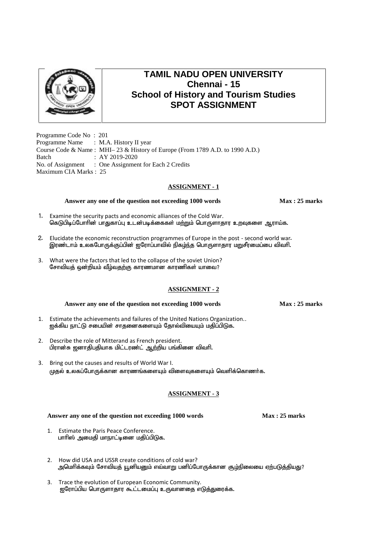

Programme Code No : 201 Programme Name : M.A. History II year Course Code & Name : MHI– 23 & History of Europe (From 1789 A.D. to 1990 A.D.) Batch : AY 2019-2020 No. of Assignment : One Assignment for Each 2 Credits Maximum CIA Marks : 25

### **ASSIGNMENT - 1**

#### **Answer any one of the question not exceeding 1000 words Max : 25 marks**

- 1. Examine the security pacts and economic alliances of the Cold War. கெடுபிடிப்போரின் பாதுகாப்பு உடன்படிக்கைகள் மற்றும் பொருளாதார உறவுகளை ஆராய்க.
- 2. Elucidate the economic reconstruction programmes of Europe in the post second world war. இரண்டாம் உலகபோருக்குப்பின் ഇரோப்பாவில் நிகம்ந்த பொருளாதார மறுசீரமைப்பை விவரி.
- 3. What were the factors that led to the collapse of the soviet Union? சோவியத் ஒன்றியம் வீழ்வதற்கு காரணமான காரணிகள் யாவை?

## **ASSIGNMENT - 2**

#### **Answer any one of the question not exceeding 1000 words Max: 25 marks**

- 1. Estimate the achievements and failures of the United Nations Organization.. ஐக்கிய நாட்டு சபையின் சாதனைகளையும் தோல்வியையும் மதிப்பிடுக.
- 2. Describe the role of Mitterand as French president. பிரான்சு ஜனாதிபதியாக மிட்டரண்ட் ஆற்றிய பங்கினை விவரி.
- 3. Bring out the causes and results of World War I. முதல் உலகப்போருக்கான காரணங்களையும் விளைவுகளையும் வெளிக்கொணர்க.

## **ASSIGNMENT - 3**

- 1. Estimate the Paris Peace Conference. பாரிஸ் அமைதி மாநாட்டினை மதிப்பிடுக.
- 2. How did USA and USSR create conditions of cold war? அமெரிக்கவும் சோவியத் யூனியனும் எவ்வாறு பனிப்போருக்கான சூழ்நிலையை ஏற்படுத்தியது?
- 3. Trace the evolution of European Economic Community. ஐரோப்பிய பொருளாதார கூட்டமைப்பு உருவானதை எடுத்துரைக்க.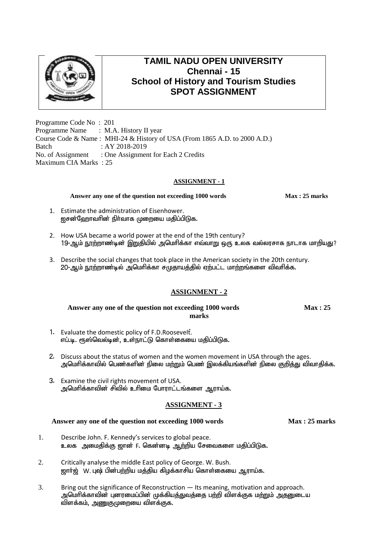

Programme Code No : 201 Programme Name : M.A. History II year Course Code & Name : MHI-24 & History of USA (From 1865 A.D. to 2000 A.D.) Batch : AY 2018-2019 No. of Assignment : One Assignment for Each 2 Credits Maximum CIA Marks : 25

# **ASSIGNMENT - 1**

**Answer any one of the question not exceeding 1000 words Max: 25 marks** 

- 1. Estimate the administration of Eisenhower. ஐசன்ஹோவரின் நிர்வாக முறையை மதிப்பிடுக.
- 2. How USA became a world power at the end of the 19th century? 19-ஆம் நூற்றாண்டின் இறுதியில் அமெரிக்கா எவ்வாறு ஒரு உலக வல்லரசாக நாடாக மாறியது?
- 3. Describe the social changes that took place in the American society in the 20th century. 20-ஆம் நூற்றாண்டில் அமெரிக்கா சமுதாயத்தில் ஏற்பட்ட மாற்றங்களை விவரிக்க.

# **ASSIGNMENT - 2**

#### Answer any one of the question not exceeding 1000 words **Max** : 25 **marks**

- 1. Evaluate the domestic policy of F.D.Roosevelt.; எப்.டி. ரூஸ்வெல்டின், உள்நாட்டு கொள்கையை மதிப்பிடுக.
- 2. Discuss about the status of women and the women movement in USA through the ages. அமெரிக்காவில் பெண்களின் நிலை மற்றும் பெண் இலக்கியங்களின் நிலை குறித்து விவாதிக்க.
- 3. Examine the civil rights movement of USA. அமெரிக்காவின் சிவில் உரிமை போராட்டங்களை ஆராய்க.

# **ASSIGNMENT - 3**

- 1. Describe John. F. Kennedy's services to global peace. உலக அமைதிக்கு ஜான் F. கென்னடி <u>ஆற்</u>றிய சேவைகளை மதிப்பிடுக.
- 2. Critically analyse the middle East policy of George. W. Bush. <u>ஜார்ஜ் W. புஷ் பின்பற்றிய மத்திய கிழ</u>க்காசிய கொள்கையை ஆராய்க.
- 3. Bring out the significance of Reconstruction Its meaning, motivation and approach. அமெரிக்காவின் புனரமைப்பின் முக்கியத்துவத்தை பற்றி விளக்குக மற்றும் அதனுடைய விளக்கம், அணுகுமுறையை விளக்குக.